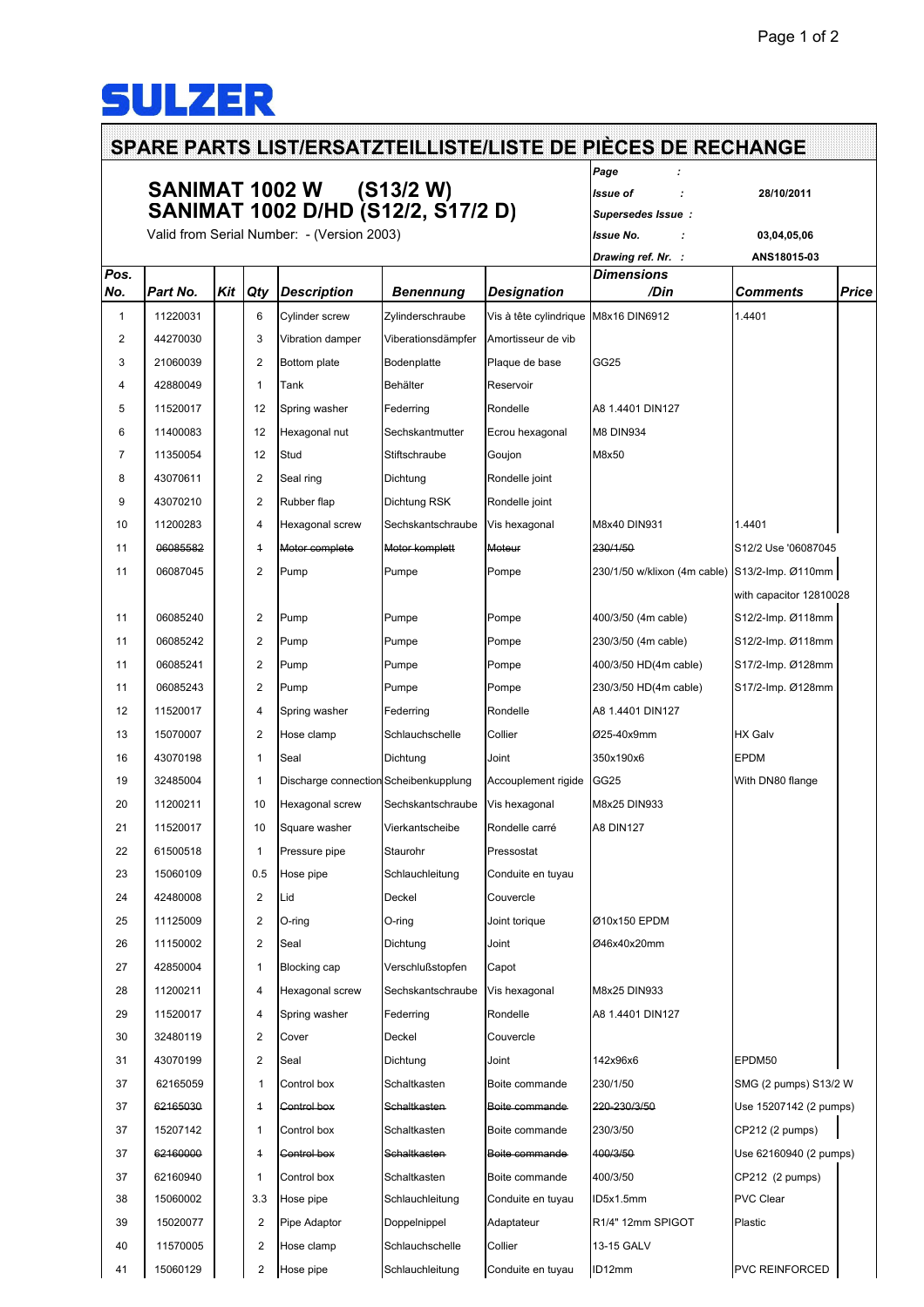## **SULZER**

## **SPARE PARTS LIST/ERSATZTEILLISTE/LISTE DE PIÈCES DE RECHANGE** *Page :* **SANIMAT 1002 W (S13/2 W)** *Issue of :* **28/10/2011 SANIMAT 1002 D/HD (S12/2, S17/2 D)** *Supersedes Issue :* Valid from Serial Number: - (Version 2003) *Issue No. :* **03,04,05,06** *Drawing ref. Nr. :* **ANS18015-03** *Pos. Dimensions No. Part No. Kit Qty Description Benennung Designation /Din Comments Price* 11220031 6 Cylinder screw Zylinderschraube Vis à tête cylindrique M8x16 DIN6912 1.4401 44270030 3 Vibration damper Viberationsdämpfer Amortisseur de vib 21060039 2 Bottom plate Bodenplatte Plaque de base GG25 4 42880049 1 Tank Behälter Reservoir 11520017 12 Spring washer Federring Rondelle A8 1.4401 DIN127 11400083 12 Hexagonal nut Sechskantmutter Ecrou hexagonal M8 DIN934 11350054 12 Stud Stiftschraube Goujon M8x50 8 43070611 2 Seal ring Dichtung Rondelle joint 9 43070210 2 Rubber flap Dichtung RSK Rondelle joint 11200283 4 Hexagonal screw Sechskantschraube Vis hexagonal M8x40 DIN931 1.4401 11 06085582 4 Motor complete Motor komplett Moteur 230/1/50 S12/2 Use '06087045 06087045 2 Pump Pumpe Pompe 230/1/50 w/klixon (4m cable) S13/2-Imp. Ø110mm with capacitor 12810028 06085240 2 Pump Pumpe Pompe 400/3/50 (4m cable) S12/2-Imp. Ø118mm 06085242 2 Pump Pumpe Pompe 230/3/50 (4m cable) S12/2-Imp. Ø118mm 06085241 2 Pump Pumpe Pompe 400/3/50 HD(4m cable) S17/2-Imp. Ø128mm 06085243 2 Pump Pumpe Pompe 230/3/50 HD(4m cable) S17/2-Imp. Ø128mm 11520017 4 Spring washer Federring Rondelle A8 1.4401 DIN127 15070007 2 Hose clamp Schlauchschelle Collier Ø25-40x9mm HX Galv 43070198 1 Seal Dichtung Joint 350x190x6 EPDM 19 32485004 1 Discharge connection Scheibenkupplung Accouplement rigide GG25 With DN80 flange 11200211 10 Hexagonal screw Sechskantschraube Vis hexagonal M8x25 DIN933 11520017 10 Square washer Vierkantscheibe Rondelle carré A8 DIN127 22 61500518 1 1 Pressure pipe Staurohr Pressostat 23 15060109 0.5 Hose pipe Schlauchleitung Conduite en tuyau 42480008 2 Lid Deckel Couvercle 11125009 2 O-ring O-ring Joint torique Ø10x150 EPDM 11150002 2 Seal Dichtung Joint Ø46x40x20mm 27 42850004 1 Blocking cap Verschlußstopfen Capot 11200211 4 Hexagonal screw Sechskantschraube Vis hexagonal M8x25 DIN933 11520017 4 Spring washer Federring Rondelle A8 1.4401 DIN127 32480119 2 Cover Deckel Couvercle 43070199 2 Seal Dichtung Joint 142x96x6 EPDM50 62165059 1 Control box Schaltkasten Boite commande 230/1/50 SMG (2 pumps) S13/2 W 62165030 1 Control box Schaltkasten Boite commande 220-230/3/50 Use 15207142 (2 pumps) 15207142 1 Control box Schaltkasten Boite commande 230/3/50 CP212 (2 pumps) 62160000 1 Control box Schaltkasten Boite commande 400/3/50 Use 62160940 (2 pumps) 62160940 1 Control box Schaltkasten Boite commande 400/3/50 CP212 (2 pumps) 15060002 3.3 Hose pipe Schlauchleitung Conduite en tuyau ID5x1.5mm PVC Clear 15020077 2 Pipe Adaptor Doppelnippel Adaptateur R1/4" 12mm SPIGOT Plastic 40 11570005 2 Hose clamp Schlauchschelle Collier 13-15 GALV 15060129 2 Hose pipe Schlauchleitung Conduite en tuyau ID12mm PVC REINFORCED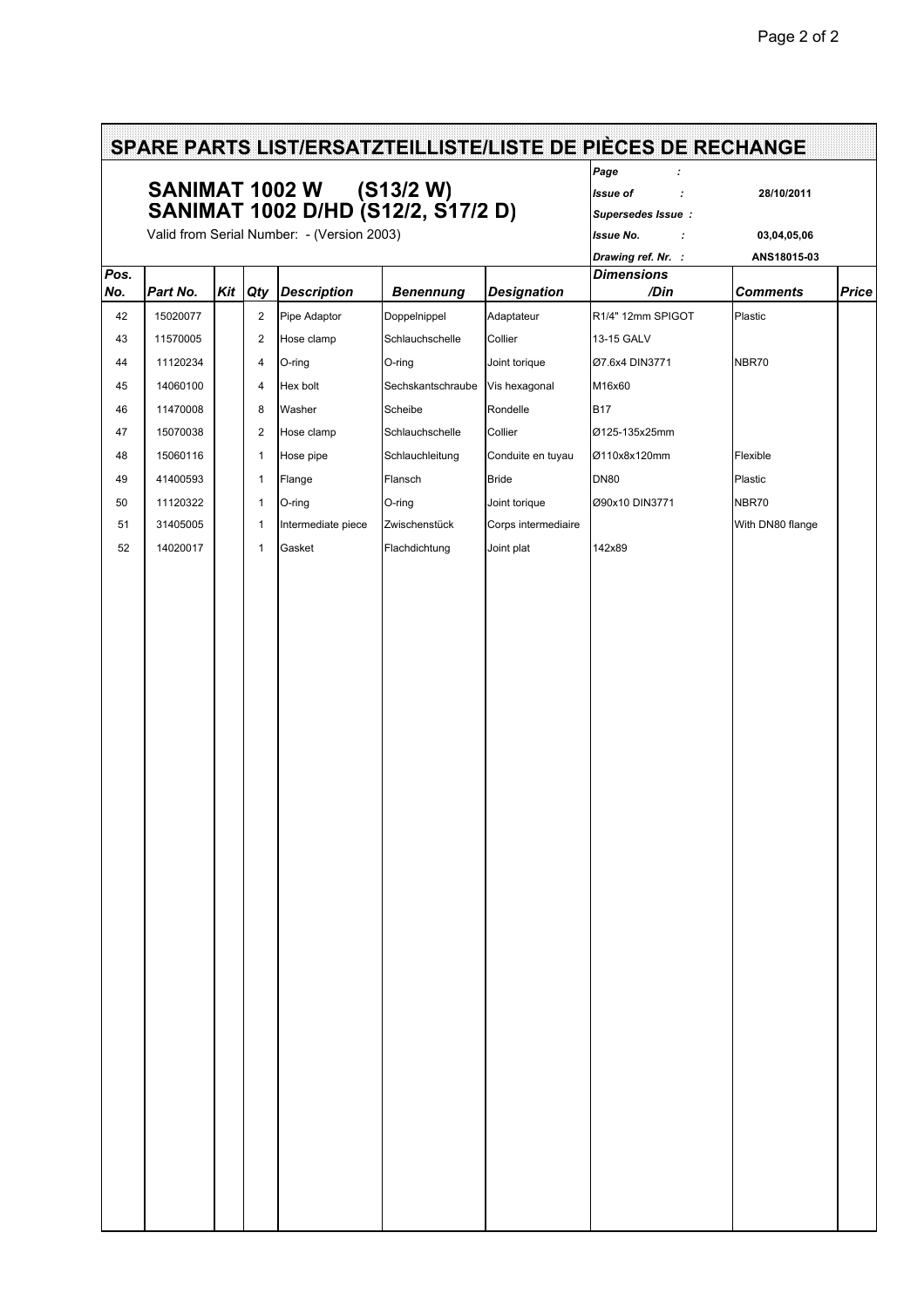| SPARE PARTS LIST/ERSATZTEILLISTE/LISTE DE PIÈCES DE RECHANGE |                                                                                                              |  |                |                    |                   |                     |                           |                  |              |  |
|--------------------------------------------------------------|--------------------------------------------------------------------------------------------------------------|--|----------------|--------------------|-------------------|---------------------|---------------------------|------------------|--------------|--|
|                                                              | SANIMAT 1002 W (S13/2 W)<br>SANIMAT 1002 D/HD (S12/2, S17/2 D)<br>Valid from Serial Number: - (Version 2003) |  |                |                    |                   |                     | Page                      |                  |              |  |
|                                                              |                                                                                                              |  |                |                    |                   |                     | Issue of<br>$\cdot$       | 28/10/2011       |              |  |
|                                                              |                                                                                                              |  |                |                    |                   |                     | Supersedes Issue:         |                  |              |  |
|                                                              |                                                                                                              |  |                |                    |                   |                     | <b>Issue No.</b><br>÷     | 03,04,05,06      |              |  |
|                                                              |                                                                                                              |  |                |                    |                   |                     | Drawing ref. Nr. :        | ANS18015-03      |              |  |
| Pos.<br>No.                                                  | Part No.                                                                                                     |  | Kit Qty        | <b>Description</b> | <b>Benennung</b>  | <b>Designation</b>  | <b>Dimensions</b><br>/Din | <b>Comments</b>  | <b>Price</b> |  |
| 42                                                           | 15020077                                                                                                     |  | $\overline{2}$ | Pipe Adaptor       | Doppelnippel      | Adaptateur          | R1/4" 12mm SPIGOT         | Plastic          |              |  |
| 43                                                           | 11570005                                                                                                     |  | 2              | Hose clamp         | Schlauchschelle   | Collier             | 13-15 GALV                |                  |              |  |
|                                                              |                                                                                                              |  |                |                    |                   |                     |                           | NBR70            |              |  |
| 44                                                           | 11120234                                                                                                     |  | 4              | O-ring             | O-ring            | Joint torique       | Ø7.6x4 DIN3771            |                  |              |  |
| 45                                                           | 14060100                                                                                                     |  | 4              | Hex bolt           | Sechskantschraube | Vis hexagonal       | M16x60                    |                  |              |  |
| 46                                                           | 11470008                                                                                                     |  | 8              | Washer             | Scheibe           | Rondelle            | <b>B17</b>                |                  |              |  |
| 47                                                           | 15070038                                                                                                     |  | $\overline{2}$ | Hose clamp         | Schlauchschelle   | Collier             | Ø125-135x25mm             |                  |              |  |
| 48                                                           | 15060116                                                                                                     |  | $\mathbf{1}$   | Hose pipe          | Schlauchleitung   | Conduite en tuyau   | Ø110x8x120mm              | Flexible         |              |  |
| 49                                                           | 41400593                                                                                                     |  | $\mathbf{1}$   | Flange             | Flansch           | <b>Bride</b>        | <b>DN80</b>               | Plastic          |              |  |
| 50                                                           | 11120322                                                                                                     |  | $\mathbf{1}$   | O-ring             | O-ring            | Joint torique       | Ø90x10 DIN3771            | NBR70            |              |  |
| 51                                                           | 31405005                                                                                                     |  | $\mathbf{1}$   | Intermediate piece | Zwischenstück     | Corps intermediaire |                           | With DN80 flange |              |  |
| 52                                                           | 14020017                                                                                                     |  | $\mathbf{1}$   | Gasket             | Flachdichtung     | Joint plat          | 142x89                    |                  |              |  |
|                                                              |                                                                                                              |  |                |                    |                   |                     |                           |                  |              |  |
|                                                              |                                                                                                              |  |                |                    |                   |                     |                           |                  |              |  |
|                                                              |                                                                                                              |  |                |                    |                   |                     |                           |                  |              |  |
|                                                              |                                                                                                              |  |                |                    |                   |                     |                           |                  |              |  |
|                                                              |                                                                                                              |  |                |                    |                   |                     |                           |                  |              |  |
|                                                              |                                                                                                              |  |                |                    |                   |                     |                           |                  |              |  |
|                                                              |                                                                                                              |  |                |                    |                   |                     |                           |                  |              |  |
|                                                              |                                                                                                              |  |                |                    |                   |                     |                           |                  |              |  |
|                                                              |                                                                                                              |  |                |                    |                   |                     |                           |                  |              |  |
|                                                              |                                                                                                              |  |                |                    |                   |                     |                           |                  |              |  |
|                                                              |                                                                                                              |  |                |                    |                   |                     |                           |                  |              |  |
|                                                              |                                                                                                              |  |                |                    |                   |                     |                           |                  |              |  |
|                                                              |                                                                                                              |  |                |                    |                   |                     |                           |                  |              |  |
|                                                              |                                                                                                              |  |                |                    |                   |                     |                           |                  |              |  |
|                                                              |                                                                                                              |  |                |                    |                   |                     |                           |                  |              |  |
|                                                              |                                                                                                              |  |                |                    |                   |                     |                           |                  |              |  |
|                                                              |                                                                                                              |  |                |                    |                   |                     |                           |                  |              |  |
|                                                              |                                                                                                              |  |                |                    |                   |                     |                           |                  |              |  |
|                                                              |                                                                                                              |  |                |                    |                   |                     |                           |                  |              |  |
|                                                              |                                                                                                              |  |                |                    |                   |                     |                           |                  |              |  |
|                                                              |                                                                                                              |  |                |                    |                   |                     |                           |                  |              |  |
|                                                              |                                                                                                              |  |                |                    |                   |                     |                           |                  |              |  |
|                                                              |                                                                                                              |  |                |                    |                   |                     |                           |                  |              |  |
|                                                              |                                                                                                              |  |                |                    |                   |                     |                           |                  |              |  |
|                                                              |                                                                                                              |  |                |                    |                   |                     |                           |                  |              |  |
|                                                              |                                                                                                              |  |                |                    |                   |                     |                           |                  |              |  |
|                                                              |                                                                                                              |  |                |                    |                   |                     |                           |                  |              |  |
|                                                              |                                                                                                              |  |                |                    |                   |                     |                           |                  |              |  |
|                                                              |                                                                                                              |  |                |                    |                   |                     |                           |                  |              |  |
|                                                              |                                                                                                              |  |                |                    |                   |                     |                           |                  |              |  |